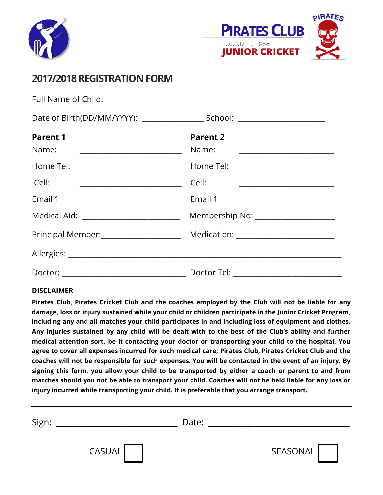



# **2017/2018 REGISTRATIONFORM**

| <b>Parent 1</b><br>Name:                               | <b>Parent 2</b><br>Name:               |  |
|--------------------------------------------------------|----------------------------------------|--|
| Home Tel: _________________________                    | Home Tel: ________________________     |  |
| Cell:                                                  |                                        |  |
| Email 1                                                | Email 1                                |  |
| Medical Aid: __________________________                |                                        |  |
| Principal Member: 2008 2010 10:00:00 Principal Member: | Medication: __________________________ |  |
|                                                        |                                        |  |
|                                                        |                                        |  |
|                                                        |                                        |  |

## **DISCLAIMER**

**Pirates Club, Pirates Cricket Club and the coaches employed by the Club will not be liable for any damage, loss or injury sustained while your child or children participate in the Junior Cricket Program, including any and all matches your child participates in and including loss of equipment and clothes. Any injuries sustained by any child will be dealt with to the best of the Club's ability and further medical attention sort, be it contacting your doctor or transporting your child to the hospital. You agree to cover all expenses incurred for such medical care; Pirates Club, Pirates Cricket Club and the coaches will not be responsible for such expenses. You will be contacted in the event of an injury. By signing this form, you allow your child to be transported by either a coach or parent to and from matches should you not be able to transport your child. Coaches will not be held liable for any loss or injury incurred while transporting your child. It is preferable that you arrange transport.** 

| Sign: |               | Date: |          |
|-------|---------------|-------|----------|
|       | <b>CASUAL</b> |       | SEASONAL |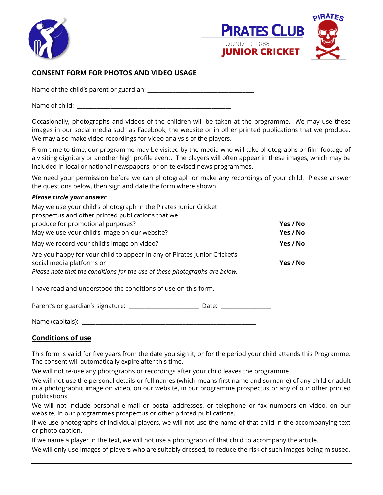



# **CONSENT FORM FOR PHOTOS AND VIDEO USAGE**

Name of the child's parent or guardian: \_\_\_\_\_\_\_\_\_\_\_\_\_\_\_\_\_\_\_\_\_\_\_\_\_\_\_\_\_\_\_\_\_\_\_\_\_\_

Name of child:  $\blacksquare$ 

Occasionally, photographs and videos of the children will be taken at the programme. We may use these images in our social media such as Facebook, the website or in other printed publications that we produce. We may also make video recordings for video analysis of the players.

From time to time, our programme may be visited by the media who will take photographs or film footage of a visiting dignitary or another high profile event. The players will often appear in these images, which may be included in local or national newspapers, or on televised news programmes.

We need your permission before we can photograph or make any recordings of your child. Please answer the questions below, then sign and date the form where shown.

#### *Please circle your answer*

| May we use your child's photograph in the Pirates Junior Cricket<br>prospectus and other printed publications that we<br>produce for promotional purposes?                            | Yes / No<br>Yes / No |
|---------------------------------------------------------------------------------------------------------------------------------------------------------------------------------------|----------------------|
| May we use your child's image on our website?                                                                                                                                         |                      |
| May we record your child's image on video?                                                                                                                                            | Yes / No             |
| Are you happy for your child to appear in any of Pirates Junior Cricket's<br>social media platforms or<br>Please note that the conditions for the use of these photographs are below. | Yes / No             |
| I have read and understood the conditions of use on this form.                                                                                                                        |                      |
| Parent's or guardian's signature:<br>Date:                                                                                                                                            |                      |

Name (capitals):  $\blacksquare$ 

## **Conditions of use**

This form is valid for five years from the date you sign it, or for the period your child attends this Programme. The consent will automatically expire after this time.

We will not re-use any photographs or recordings after your child leaves the programme

We will not use the personal details or full names (which means first name and surname) of any child or adult in a photographic image on video, on our website, in our programme prospectus or any of our other printed publications.

We will not include personal e-mail or postal addresses, or telephone or fax numbers on video, on our website, in our programmes prospectus or other printed publications.

If we use photographs of individual players, we will not use the name of that child in the accompanying text or photo caption.

If we name a player in the text, we will not use a photograph of that child to accompany the article.

We will only use images of players who are suitably dressed, to reduce the risk of such images being misused.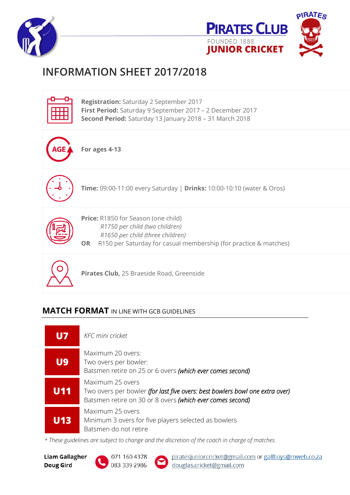



# **INFORMATION SHEET 2017/2018**



# **MATCH FORMAT** IN LINE WITH GCB GUIDELINES

| U7  | <b>KFC</b> mini cricket                                                                                                                                       |
|-----|---------------------------------------------------------------------------------------------------------------------------------------------------------------|
| U9  | Maximum 20 overs:<br>Two overs per bowler:<br>Batsmen retire on 25 or 6 overs (which ever comes second)                                                       |
| U11 | Maximum 25 overs<br>Two overs per bowler (for last five overs: best bowlers bowl one extra over)<br>Batsmen retire on 30 or 8 overs (which ever comes second) |
| U13 | Maximum 25 overs<br>Minimum 3 overs for five players selected as bowlers<br>Batsmen do not retire                                                             |

*\* These guidelines are subject to change and the discretion of the coach in charge of matches.* 

**Liam Gallagher** Doug Gird

071 160 4378 083 339 2986

piratesjuniorcricket@gmail.com or gallboys@mweb.co.za douglas.cricket@gmail.com